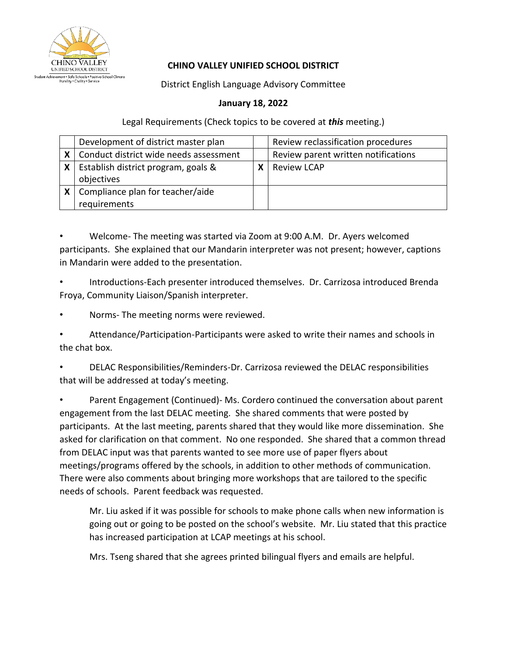

## **CHINO VALLEY UNIFIED SCHOOL DISTRICT**

District English Language Advisory Committee

## **January 18, 2022**

Legal Requirements (Check topics to be covered at *this* meeting.)

|   | Development of district master plan        | Review reclassification procedures  |
|---|--------------------------------------------|-------------------------------------|
|   | X   Conduct district wide needs assessment | Review parent written notifications |
| X | Establish district program, goals &        | <b>Review LCAP</b>                  |
|   | objectives                                 |                                     |
|   | $x$   Compliance plan for teacher/aide     |                                     |
|   | requirements                               |                                     |

• Welcome- The meeting was started via Zoom at 9:00 A.M. Dr. Ayers welcomed participants. She explained that our Mandarin interpreter was not present; however, captions in Mandarin were added to the presentation.

• Introductions-Each presenter introduced themselves. Dr. Carrizosa introduced Brenda Froya, Community Liaison/Spanish interpreter.

• Norms- The meeting norms were reviewed.

• Attendance/Participation-Participants were asked to write their names and schools in the chat box.

• DELAC Responsibilities/Reminders-Dr. Carrizosa reviewed the DELAC responsibilities that will be addressed at today's meeting.

Parent Engagement (Continued)- Ms. Cordero continued the conversation about parent engagement from the last DELAC meeting. She shared comments that were posted by participants. At the last meeting, parents shared that they would like more dissemination. She asked for clarification on that comment. No one responded. She shared that a common thread from DELAC input was that parents wanted to see more use of paper flyers about meetings/programs offered by the schools, in addition to other methods of communication. There were also comments about bringing more workshops that are tailored to the specific needs of schools. Parent feedback was requested.

Mr. Liu asked if it was possible for schools to make phone calls when new information is going out or going to be posted on the school's website. Mr. Liu stated that this practice has increased participation at LCAP meetings at his school.

Mrs. Tseng shared that she agrees printed bilingual flyers and emails are helpful.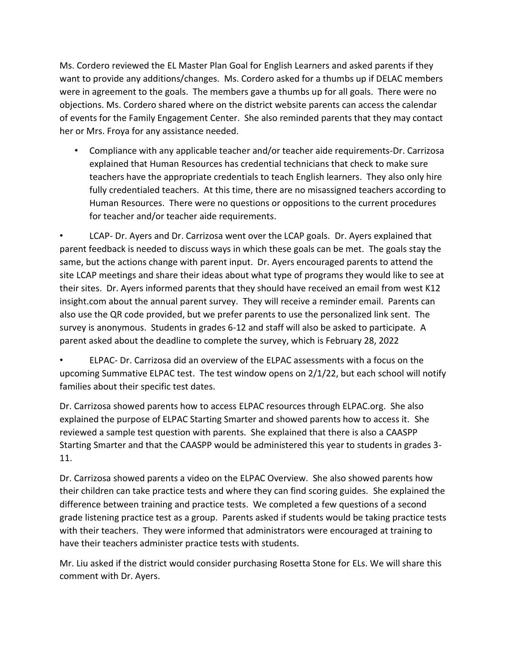Ms. Cordero reviewed the EL Master Plan Goal for English Learners and asked parents if they want to provide any additions/changes. Ms. Cordero asked for a thumbs up if DELAC members were in agreement to the goals. The members gave a thumbs up for all goals. There were no objections. Ms. Cordero shared where on the district website parents can access the calendar of events for the Family Engagement Center. She also reminded parents that they may contact her or Mrs. Froya for any assistance needed.

• Compliance with any applicable teacher and/or teacher aide requirements-Dr. Carrizosa explained that Human Resources has credential technicians that check to make sure teachers have the appropriate credentials to teach English learners. They also only hire fully credentialed teachers. At this time, there are no misassigned teachers according to Human Resources. There were no questions or oppositions to the current procedures for teacher and/or teacher aide requirements.

• LCAP- Dr. Ayers and Dr. Carrizosa went over the LCAP goals. Dr. Ayers explained that parent feedback is needed to discuss ways in which these goals can be met. The goals stay the same, but the actions change with parent input. Dr. Ayers encouraged parents to attend the site LCAP meetings and share their ideas about what type of programs they would like to see at their sites. Dr. Ayers informed parents that they should have received an email from west K12 insight.com about the annual parent survey. They will receive a reminder email. Parents can also use the QR code provided, but we prefer parents to use the personalized link sent. The survey is anonymous. Students in grades 6-12 and staff will also be asked to participate. A parent asked about the deadline to complete the survey, which is February 28, 2022

• ELPAC- Dr. Carrizosa did an overview of the ELPAC assessments with a focus on the upcoming Summative ELPAC test. The test window opens on 2/1/22, but each school will notify families about their specific test dates.

Dr. Carrizosa showed parents how to access ELPAC resources through ELPAC.org. She also explained the purpose of ELPAC Starting Smarter and showed parents how to access it. She reviewed a sample test question with parents. She explained that there is also a CAASPP Starting Smarter and that the CAASPP would be administered this year to students in grades 3- 11.

Dr. Carrizosa showed parents a video on the ELPAC Overview. She also showed parents how their children can take practice tests and where they can find scoring guides. She explained the difference between training and practice tests. We completed a few questions of a second grade listening practice test as a group. Parents asked if students would be taking practice tests with their teachers. They were informed that administrators were encouraged at training to have their teachers administer practice tests with students.

Mr. Liu asked if the district would consider purchasing Rosetta Stone for ELs. We will share this comment with Dr. Ayers.